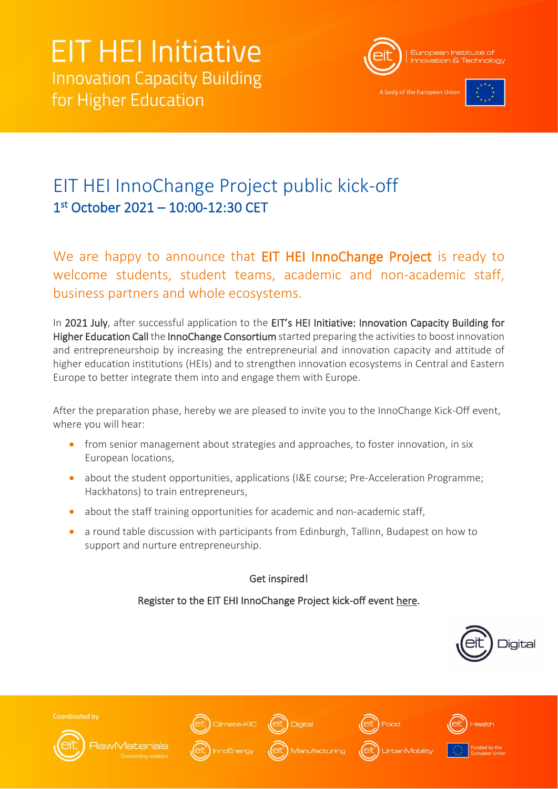

A body of the European Un



## EIT HEI InnoChange Project public kick-off 1 st October 2021 – 10:00-12:30 CET

We are happy to announce that EIT HEI InnoChange Project is ready to welcome students, student teams, academic and non-academic staff, business partners and whole ecosystems.

In 2021 July, after successful application to the EIT's HEI Initiative: Innovation Capacity Building for Higher Education Call the InnoChange Consortium started preparing the activities to boost innovation and entrepreneurshoip by increasing the entrepreneurial and innovation capacity and attitude of higher education institutions (HEIs) and to strengthen innovation ecosystems in Central and Eastern Europe to better integrate them into and engage them with Europe.

After the preparation phase, hereby we are pleased to invite you to the InnoChange Kick-Off event, where you will hear:

- from senior management about strategies and approaches, to foster innovation, in six European locations,
- about the student opportunities, applications (I&E course; Pre-Acceleration Programme; Hackhatons) to train entrepreneurs,
- about the staff training opportunities for academic and non-academic staff,
- a round table discussion with participants from Edinburgh, Tallinn, Budapest on how to support and nurture entrepreneurship.

## Get inspired!

## Register to the EIT EHI InnoChange Project kick-off event [here.](https://forms.office.com/r/Lr4PY47gqq)





**Coordinated by** 







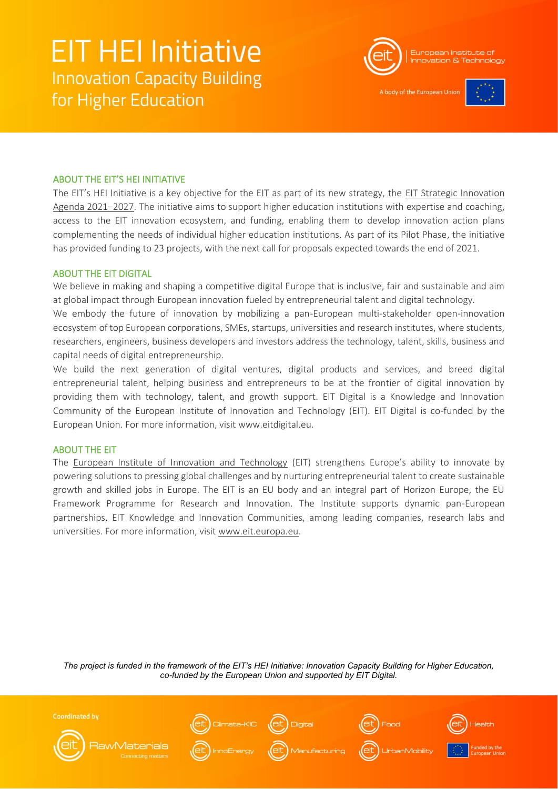

A body of the European Unio



### ABOUT THE EIT'S HEI INITIATIVE

The EIT's HEI Initiative is a key objective for the EIT as part of its new strategy, the [EIT Strategic Innovation](https://eit.europa.eu/who-we-are/eit-glance/eit-strategy-2021-2027)  [Agenda 2021−2027](https://eit.europa.eu/who-we-are/eit-glance/eit-strategy-2021-2027). The initiative aims to support higher education institutions with expertise and coaching, access to the EIT innovation ecosystem, and funding, enabling them to develop innovation action plans complementing the needs of individual higher education institutions. As part of its Pilot Phase, the initiative has provided funding to 23 projects, with the next call for proposals expected towards the end of 2021.

### ABOUT THE EIT DIGITAL

We believe in making and shaping a competitive digital Europe that is inclusive, fair and sustainable and aim at global impact through European innovation fueled by entrepreneurial talent and digital technology.

We embody the future of innovation by mobilizing a pan-European multi-stakeholder open-innovation ecosystem of top European corporations, SMEs, startups, universities and research institutes, where students, researchers, engineers, business developers and investors address the technology, talent, skills, business and capital needs of digital entrepreneurship. 

We build the next generation of digital ventures, digital products and services, and breed digital entrepreneurial talent, helping business and entrepreneurs to be at the frontier of digital innovation by providing them with technology, talent, and growth support. EIT Digital is a Knowledge and Innovation Community of the [European Institute of Innovation and Technology](https://eit.europa.eu/) (EIT). EIT Digital is co-funded by the European Union. For more information, visit [www.eitdigital.eu.](safari-reader://www.eitdigital.eu/)

### ABOUT THE EIT

The [European Institute of Innovation and Technology](https://eit.europa.eu/) (EIT) strengthens Europe's ability to innovate by powering solutions to pressing global challenges and by nurturing entrepreneurial talent to create sustainable growth and skilled jobs in Europe. The EIT is an EU body and an integral part of Horizon Europe, the EU Framework Programme for Research and Innovation. The Institute supports dynamic pan-European partnerships, EIT Knowledge and Innovation Communities, among leading companies, research labs and universities. For more information, visit [www.eit.europa.eu.](http://www.eit.europa.eu/)

*The project is funded in the framework of the EIT's HEI Initiative: Innovation Capacity Building for Higher Education, co-funded by the European Union and supported by EIT Digital.*

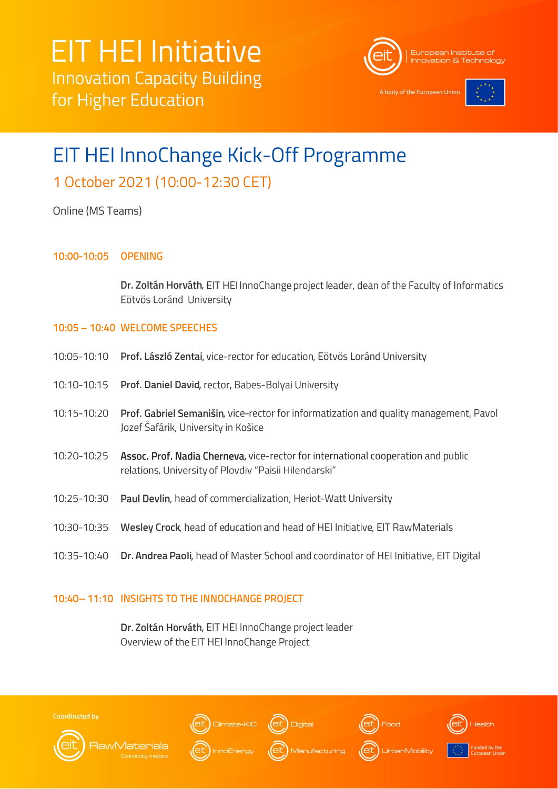

A body of the European Unio



# EIT HEI InnoChange Kick-Off Programme 1 October 2021 (10:00-12:30 CET)

## Online (MS Teams)

#### 10:00-10:05 **OPENING**

Dr. Zoltán Horváth, EIT HEI InnoChange project leader, dean of the Faculty of Informatics Eötvös Loránd University

### 10:05 - 10:40 WELCOME SPEECHES

| 10:05-10:10 Prof. László Zentai, vice-rector for education, Eötvös Loránd University |
|--------------------------------------------------------------------------------------|
|                                                                                      |

- 10:10-10:15 Prof. Daniel David, rector, Babes-Bolyai University
- 10:15-10:20 Prof. Gabriel Semanišin, vice-rector for informatization and quality management, Pavol Jozef Šafárik, University in Košice
- Assoc. Prof. Nadia Cherneva, vice-rector for international cooperation and public 10:20-10:25 relations, University of Plovdiv "Paisii Hilendarski"
- 10:25-10:30 Paul Devlin, head of commercialization, Heriot-Watt University
- 10:30-10:35 Wesley Crock, head of education and head of HEI Initiative, EIT RawMaterials
- 10:35-10:40 Dr. Andrea Paoli, head of Master School and coordinator of HEI Initiative, EIT Digital

### 10:40-11:10 INSIGHTS TO THE INNOCHANGE PROJECT

Dr. Zoltán Horváth, EIT HEI InnoChange project leader Overview of the EIT HEI InnoChange Project